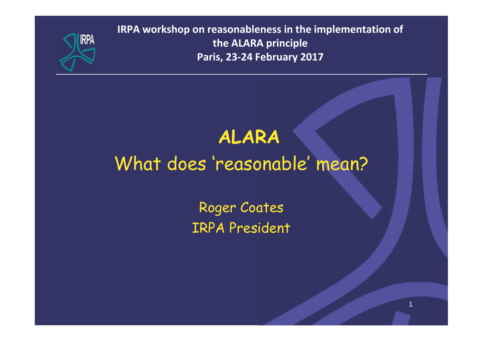

**IRPA workshop on reasonableness in the implementation of the ALARA principle Paris, 23-24 February 2017**

# **ALARA**

# What does 'reasonable' mean?

Roger Coates IRPA President

1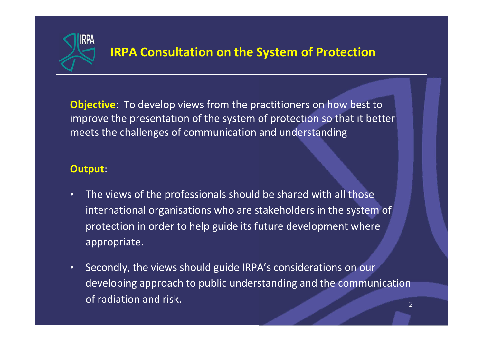

### **IRPA Consultation on the System of Protection**

**Objective**: To develop views from the practitioners on how best to improve the presentation of the system of protection so that it better meets the challenges of communication and understanding

#### **Output**:

- The views of the professionals should be shared with all those international organisations who are stakeholders in the system of protection in order to help guide its future development where appropriate.
- Secondly, the views should guide IRPA's considerations on our developing approach to public understanding and the communication of radiation and risk.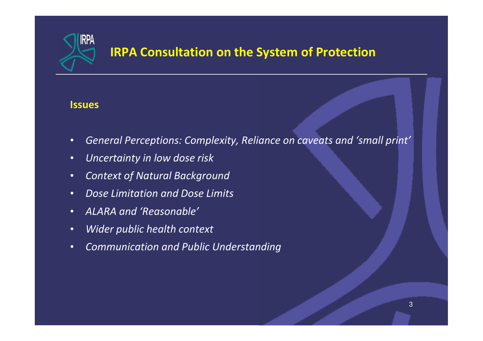

### **IRPA Consultation on the System of Protection**

#### **Issues**

- *General Perceptions: Complexity, Reliance on caveats and 'small print'*
- *Uncertainty in low dose risk*
- *Context of Natural Background*
- *Dose Limitation and Dose Limits*
- *ALARA and 'Reasonable'*
- *Wider public health context*
- *Communication and Public Understanding*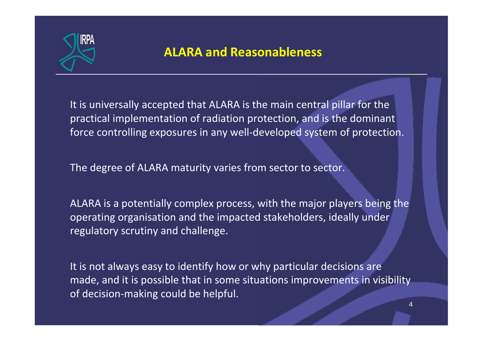

### **ALARA and Reasonableness**

It is universally accepted that ALARA is the main central pillar for the practical implementation of radiation protection, and is the dominant force controlling exposures in any well-developed system of protection.

The degree of ALARA maturity varies from sector to sector.

ALARA is a potentially complex process, with the major players being the operating organisation and the impacted stakeholders, ideally under regulatory scrutiny and challenge.

It is not always easy to identify how or why particular decisions are made, and it is possible that in some situations improvements in visibility of decision-making could be helpful.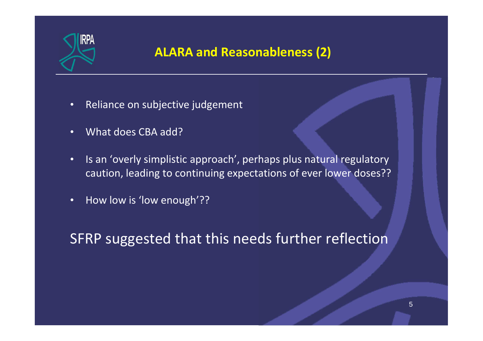

### **ALARA and Reasonableness (2)**

- Reliance on subjective judgement
- What does CBA add?
- Is an 'overly simplistic approach', perhaps plus natural regulatory caution, leading to continuing expectations of ever lower doses??
- How low is 'low enough'??

SFRP suggested that this needs further reflection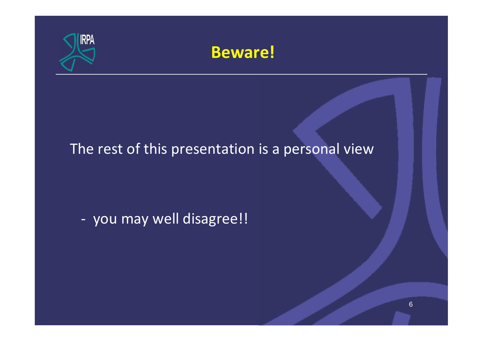

## **Beware!**

## The rest of this presentation is a personal view

- you may well disagree!!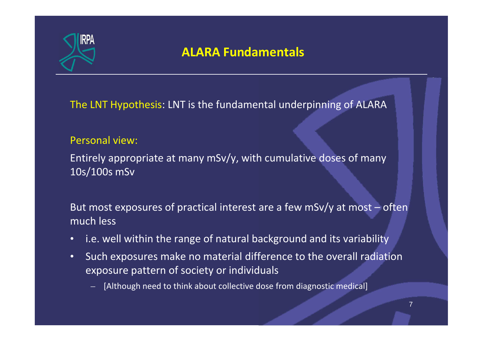

### **ALARA Fundamentals**

The LNT Hypothesis: LNT is the fundamental underpinning of ALARA

#### Personal view:

Entirely appropriate at many mSv/y, with cumulative doses of many 10s/100s mSv

But most exposures of practical interest are a few mSv/y at most – often much less

- i.e. well within the range of natural background and its variability
- Such exposures make no material difference to the overall radiation exposure pattern of society or individuals
	- [Although need to think about collective dose from diagnostic medical]

7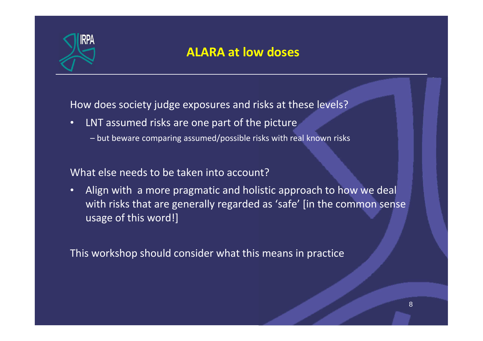

### **ALARA at low doses**

How does society judge exposures and risks at these levels?

- LNT assumed risks are one part of the picture
	- but beware comparing assumed/possible risks with real known risks

#### What else needs to be taken into account?

• Align with a more pragmatic and holistic approach to how we deal with risks that are generally regarded as 'safe' [in the common sense usage of this word!]

This workshop should consider what this means in practice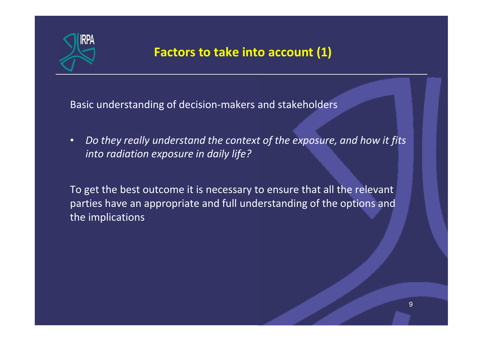

### **Factors to take into account (1)**

Basic understanding of decision-makers and stakeholders

• *Do they really understand the context of the exposure, and how it fits into radiation exposure in daily life?*

To get the best outcome it is necessary to ensure that all the relevant parties have an appropriate and full understanding of the options and the implications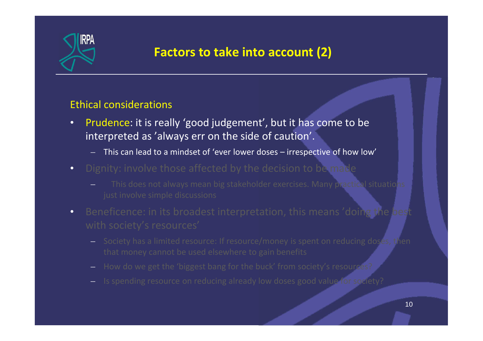

### **Factors to take into account (2)**

#### Ethical considerations

- Prudence: it is really 'good judgement', but it has come to be interpreted as 'always err on the side of caution'.
	- This can lead to a mindset of 'ever lower doses irrespective of how low'
- Dignity: involve those affected by the decision to be made
	- This does not always mean big stakeholder exercises. Many practical situations
- Beneficence: in its broadest interpretation, this means 'doing the best
	- Society has a limited resource: If resource/money is spent on reducing doses, then
	- How do we get the 'biggest bang for the buck' from society's resources?
	- Is spending resource on reducing already low doses good value for society?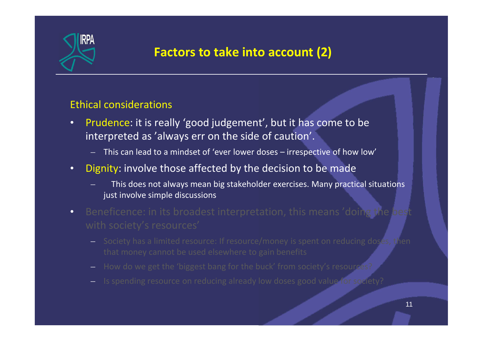

### **Factors to take into account (2)**

#### Ethical considerations

- Prudence: it is really 'good judgement', but it has come to be interpreted as 'always err on the side of caution'.
	- This can lead to a mindset of 'ever lower doses irrespective of how low'
- Dignity: involve those affected by the decision to be made
	- This does not always mean big stakeholder exercises. Many practical situations just involve simple discussions
- Beneficence: in its broadest interpretation, this means 'doing the best
	- Society has a limited resource: If resource/money is spent on reducing doses, then
	- How do we get the 'biggest bang for the buck' from society's resources?
	- Is spending resource on reducing already low doses good value for society?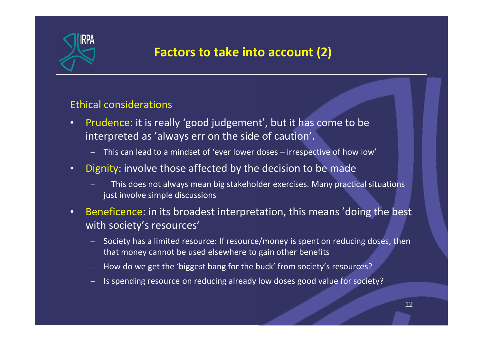

### **Factors to take into account (2)**

#### Ethical considerations

- Prudence: it is really 'good judgement', but it has come to be interpreted as 'always err on the side of caution'.
	- This can lead to a mindset of 'ever lower doses irrespective of how low'
- Dignity: involve those affected by the decision to be made
	- This does not always mean big stakeholder exercises. Many practical situations just involve simple discussions
- Beneficence: in its broadest interpretation, this means 'doing the best with society's resources'
	- Society has a limited resource: If resource/money is spent on reducing doses, then that money cannot be used elsewhere to gain other benefits
	- How do we get the 'biggest bang for the buck' from society's resources?
	- Is spending resource on reducing already low doses good value for society?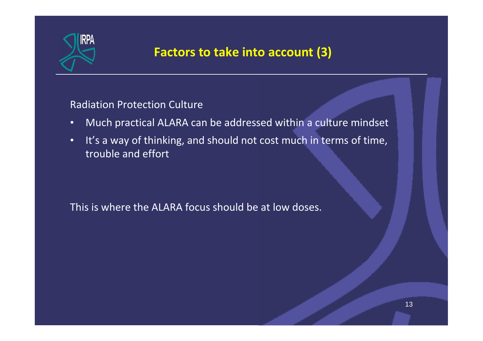

### **Factors to take into account (3)**

Radiation Protection Culture

- Much practical ALARA can be addressed within a culture mindset
- It's a way of thinking, and should not cost much in terms of time, trouble and effort

This is where the ALARA focus should be at low doses.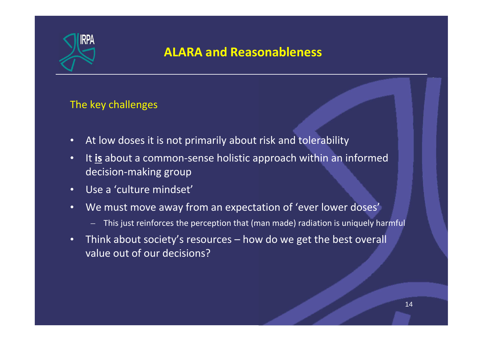

### **ALARA and Reasonableness**

#### The key challenges

- At low doses it is not primarily about risk and tolerability
- It **is** about a common-sense holistic approach within an informed decision-making group
- Use a 'culture mindset'
- We must move away from an expectation of 'ever lower doses'
	- This just reinforces the perception that (man made) radiation is uniquely harmful
- Think about society's resources how do we get the best overall value out of our decisions?